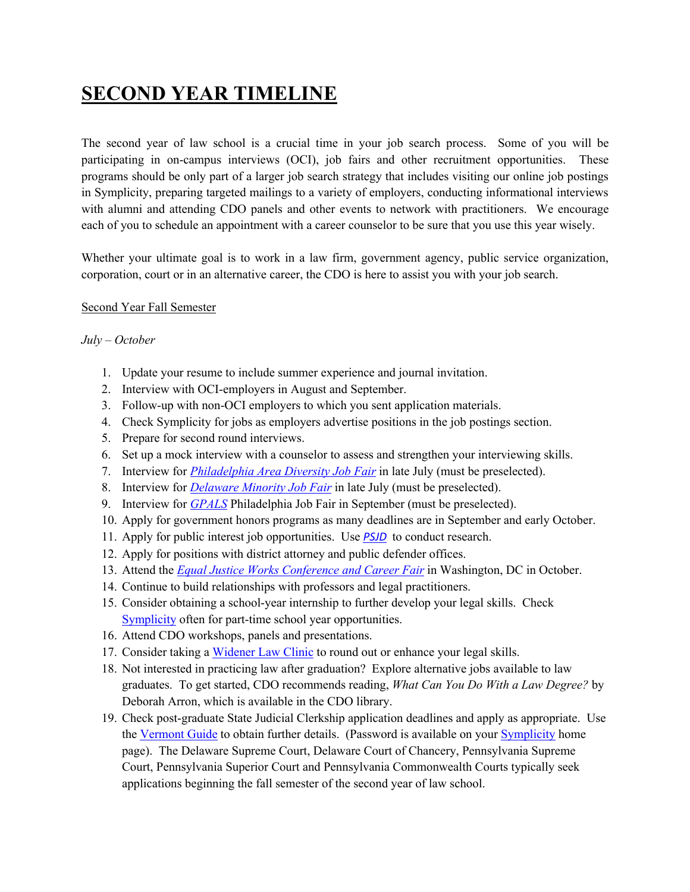# **SECOND YEAR TIMELINE**

The second year of law school is a crucial time in your job search process. Some of you will be participating in on-campus interviews (OCI), job fairs and other recruitment opportunities. These programs should be only part of a larger job search strategy that includes visiting our online job postings in Symplicity, preparing targeted mailings to a variety of employers, conducting informational interviews with alumni and attending CDO panels and other events to network with practitioners. We encourage each of you to schedule an appointment with a career counselor to be sure that you use this year wisely.

Whether your ultimate goal is to work in a law firm, government agency, public service organization, corporation, court or in an alternative career, the CDO is here to assist you with your job search.

#### Second Year Fall Semester

#### *July – October*

- 1. Update your resume to include summer experience and journal invitation.
- 2. Interview with OCI-employers in August and September.
- 3. Follow-up with non-OCI employers to which you sent application materials.
- 4. Check Symplicity for jobs as employers advertise positions in the job postings section.
- 5. Prepare for second round interviews.
- 6. Set up a mock interview with a counselor to assess and strengthen your interviewing skills.
- 7. Interview for *Philadelphia Area Diversity Job Fair* in late July (must be preselected).
- 8. Interview for *Delaware Minority Job Fair* in late July (must be preselected).
- 9. Interview for *GPALS* Philadelphia Job Fair in September (must be preselected).
- 10. Apply for government honors programs as many deadlines are in September and early October.
- 11. Apply for public interest job opportunities. Use *PSJD* to conduct research.
- 12. Apply for positions with district attorney and public defender offices.
- 13. Attend the *Equal Justice Works Conference and Career Fair* in Washington, DC in October.
- 14. Continue to build relationships with professors and legal practitioners.
- 15. Consider obtaining a school-year internship to further develop your legal skills. Check Symplicity often for part-time school year opportunities.
- 16. Attend CDO workshops, panels and presentations.
- 17. Consider taking a Widener Law Clinic to round out or enhance your legal skills.
- 18. Not interested in practicing law after graduation? Explore alternative jobs available to law graduates. To get started, CDO recommends reading, *What Can You Do With a Law Degree?* by Deborah Arron, which is available in the CDO library.
- 19. Check post-graduate State Judicial Clerkship application deadlines and apply as appropriate. Use the Vermont Guide to obtain further details. (Password is available on your Symplicity home page). The Delaware Supreme Court, Delaware Court of Chancery, Pennsylvania Supreme Court, Pennsylvania Superior Court and Pennsylvania Commonwealth Courts typically seek applications beginning the fall semester of the second year of law school.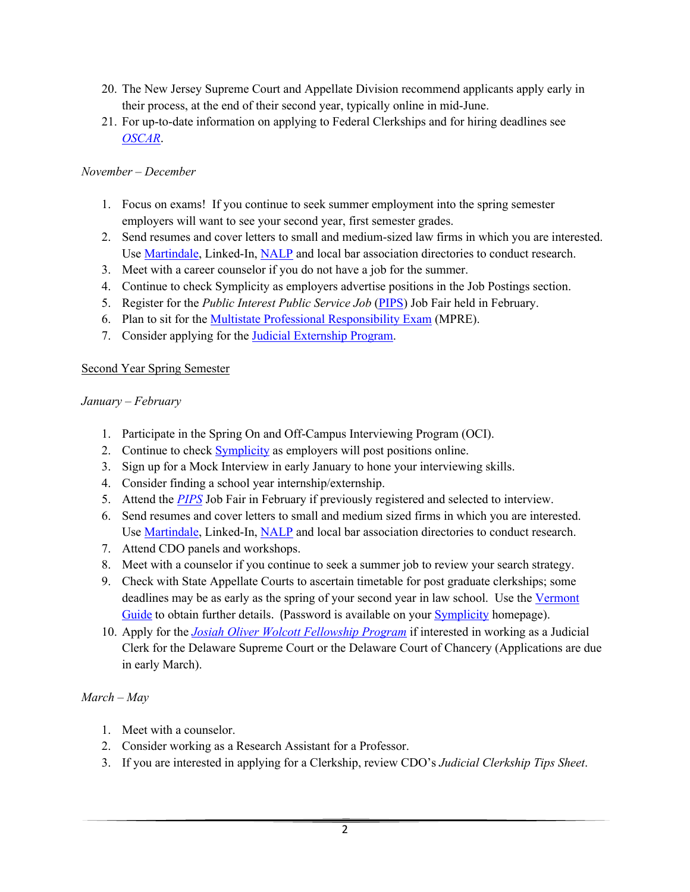- 20. The New Jersey Supreme Court and Appellate Division recommend applicants apply early in their process, at the end of their second year, typically online in mid-June.
- 21. For up-to-date information on applying to Federal Clerkships and for hiring deadlines see *OSCAR*.

## *November – December*

- 1. Focus on exams! If you continue to seek summer employment into the spring semester employers will want to see your second year, first semester grades.
- 2. Send resumes and cover letters to small and medium-sized law firms in which you are interested. Use Martindale, Linked-In, NALP and local bar association directories to conduct research.
- 3. Meet with a career counselor if you do not have a job for the summer.
- 4. Continue to check Symplicity as employers advertise positions in the Job Postings section.
- 5. Register for the *Public Interest Public Service Job* (PIPS) Job Fair held in February.
- 6. Plan to sit for the Multistate Professional Responsibility Exam (MPRE).
- 7. Consider applying for the Judicial Externship Program.

## Second Year Spring Semester

#### *January – February*

- 1. Participate in the Spring On and Off-Campus Interviewing Program (OCI).
- 2. Continue to check **Symplicity** as employers will post positions online.
- 3. Sign up for a Mock Interview in early January to hone your interviewing skills.
- 4. Consider finding a school year internship/externship.
- 5. Attend the *PIPS* Job Fair in February if previously registered and selected to interview.
- 6. Send resumes and cover letters to small and medium sized firms in which you are interested. Use Martindale, Linked-In, NALP and local bar association directories to conduct research.
- 7. Attend CDO panels and workshops.
- 8. Meet with a counselor if you continue to seek a summer job to review your search strategy.
- 9. Check with State Appellate Courts to ascertain timetable for post graduate clerkships; some deadlines may be as early as the spring of your second year in law school. Use the Vermont Guide to obtain further details. (Password is available on your Symplicity homepage).
- 10. Apply for the *Josiah Oliver Wolcott Fellowship Program* if interested in working as a Judicial Clerk for the Delaware Supreme Court or the Delaware Court of Chancery (Applications are due in early March).

## *March – May*

- 1. Meet with a counselor.
- 2. Consider working as a Research Assistant for a Professor.
- 3. If you are interested in applying for a Clerkship, review CDO's *Judicial Clerkship Tips Sheet*.